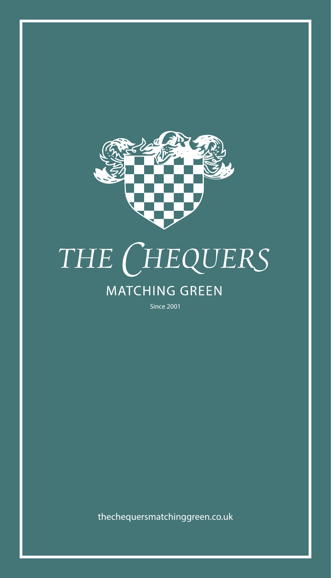

# THE CHEQUERS

# **MATCHING GREEN**

Since 2001

thechequersmatchinggreen.co.uk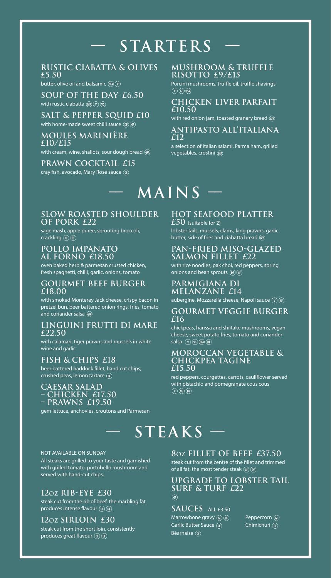# **–– StarterS ––**

# **RUSTIC CIABATTA & OLIVES £5.50**

butter, olive oil and balsamic  $(F_A)(V)$ 

**soup of the day £6.50** with rustic ciabatta  $\mathbb{G}(V)(V)$ 

**salt & pepper squid £10** with home-made sweet chilli sauce  $(\mathbb{F})(\mathbb{F})$ 

### **moules mariniÈre £10/£15**

with cream, wine, shallots, sour dough bread (FA)

**PRAWN cocktail £15** cray fish, avocado, Mary Rose sauce

## **Mushroom & Truffle Risotto £9/£15**

Porcini mushrooms, truffle oil, truffle shavings  $(v)$  (GF) (VGA)

# **chicken liver parfait £10.50**

with red onion jam, toasted granary bread @

#### **antipasto all'italiana £12**

a selection of Italian salami, Parma ham, grilled vegetables, crostini

# **–– MAINS ––**

# **slow roasted shoulder of pork £22**

sage mash, apple puree, sprouting broccoli,  $crackling$  ( $F$ ) ( $DF$ )

### **POLLO IMPANATO AL FORNO £18.50**

oven baked herb & parmesan crusted chicken, fresh spaghetti, chilli, garlic, onions, tomato

# **gourmet beef burger £18.00**

with smoked Monterey Jack cheese, crispy bacon in pretzel bun, beer battered onion rings, fries, tomato and coriander salsa GFA

#### **LINGUINI FRUTTI DI MARE £22.50**

with calamari, tiger prawns and mussels in white wine and garlic

**fish & chips £18**

beer battered haddock fillet, hand cut chips, crushed peas, lemon tartare (F)

#### **cAEsar salad – CHICKEN £17.50 – prawns £19.50**

gem lettuce, anchovies, croutons and Parmesan

# **HOT Seafood Platter**

**£50** (suitable for 2) lobster tails, mussels, clams, king prawns, garlic butter, side of fries and ciabatta bread (FA)

# **Pan-fried MISO-GLAZED Salmon Fillet £22**

with rice noodles, pak choi, red peppers, spring onions and bean sprouts  $(\mathfrak{F})(\mathfrak{F})$ 

### **Parmigiana di Melanzane £14**

aubergine, Mozzarella cheese, Napoli sauce  $(\widehat{v})(\widehat{w})$ 

### **Gourmet veggie burger £16**

chickpeas, harissa and shiitake mushrooms, vegan cheese, sweet potato fries, tomato and coriander salsa  $(\sqrt{v})(\sqrt{v})$  (GFA)  $(\overline{v})$ 

#### **Moroccan vegetable & chickpea tagine £15.50**

red peppers, courgettes, carrots, cauliflower served with pistachio and pomegranate cous cous  $\mathcal{O}(\mathcal{N})$   $\mathcal{O}(\mathcal{D})$ 

# **–– STEAKS ––**

#### NOT AVAILABLE ON SUNDAY

All steaks are grilled to your taste and garnished with grilled tomato, portobello mushroom and served with hand-cut chips.

# **12oz rib-eye £30**

steak cut from the rib of beef, the marbling fat produces intense flavour (F) (F)

# **12oz sirloin £30**

steak cut from the short loin, consistently produces great flavour (F) (F)

# **8oz FILLET OF BEEF £37.50**

steak cut from the centre of the fillet and trimmed of all fat, the most tender steak (a) (DF)

### **upgrade to lobster tail surf & turf £22**  $\binom{G}{F}$

# **sauces** ALL £3.50

Marrowbone gravy  $(F)$   $(F)$  Peppercorn  $(F)$ Garlic Butter Sauce (G) Chimichuri (G) Béarnaise (G)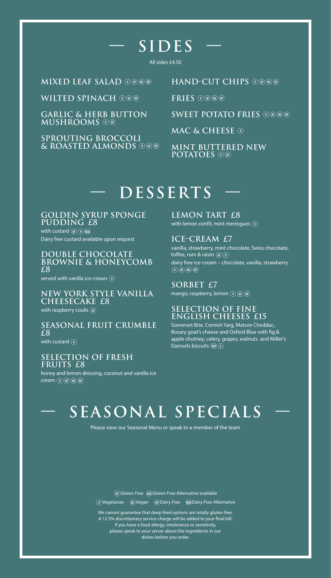# **–– SIDES ––**

All sides £4.50

**Mixed leaf salad** 

WILTED SPINACH  $\mathcal{O}$ ®

**Garlic & herb button mushrooms** 

**Sprouting broccoli & roasted almonds**  **Hand-cut chips** 

**Fries** 

**SWEET POTATO FRIES OG** 60

**Mac & cheese** 

**MINT BUTTERED NEW POTATOES**  $\widehat{\odot}$   $\widehat{\odot}$ 

# **–– DESSERTS ––**

**golden syrup sponge PUDDING £8** with custard  $(F)$   $(V)$   $(K)$ Dairy free custard available upon request

**double chocolate brownie & honeycomb £8**

served with vanilla ice-cream  $\mathcal{F}$ 

**NEW YORK STYLE vanilla CHEESECAKE £8** with raspberry coulis (F)

**Seasonal Fruit Crumble £8**

with custard  $\circledv$ 

**Selection of Fresh Fruits £8**

honey and lemon dressing, coconut and vanilla ice  $c$ ream  $\left(\sqrt[n]{\text{G}}\right)$   $\left(\sqrt[n]{\text{G}}\right)$   $\left(\sqrt[n]{\text{D}}\right)$ 

**Lemon Tart £8** with lemon confit, mint merinques  $\widehat{v}$ 

**ice-cream £7** vanilla, strawberry, mint chocolate, Swiss chocolate, toffee, rum & raisin  $\mathcal{F}(\mathcal{V})$ dairy free ice-cream – chocolate, vanilla, strawberry  $\overline{(V)}$  (GF) (VG) (DF)

**sorbet £7** mango, raspberry, lemon  $\mathcal{D}(\mathbb{F})$  (if)

# **selection of fine english cheeses £15**

Somerset Brie, Cornish Yarg, Mature Cheddar,, Rosary goat's cheese and Oxford Blue with fig & apple chutney, celery, grapes, walnuts and Miller's Damsels biscuits

# **–– seasonal specials ––**

Please view our Seasonal Menu or speak to a member of the team

(GF) Gluten Free (GFA) Gluten Free Alternative available  $\overline{v}(V)$ Vegetarian  $\overline{w}(V)$ Vegan  $\overline{v}(V)$ Dairy Free  $\overline{w}(V)$  Dairy Free Alternative

We cannot guarantee that deep fried options are totally gluten free. A 12.5% discretionary service charge will be added to your final bill. If you have a food allergy, intolerance or sensitivity, please speak to your server about the ingredients in our dishes before you order.